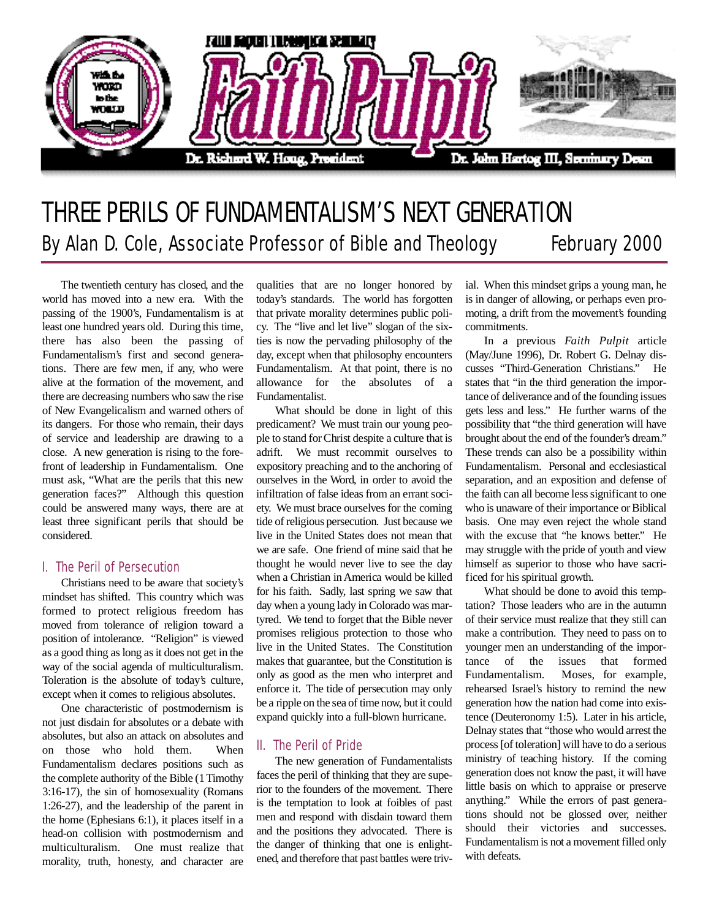

# THREE PERILS OF FUNDAMENTALISM'S NEXT GENERATION By Alan D. Cole, Associate Professor of Bible and Theology February 2000

The twentieth century has closed, and the world has moved into a new era. With the passing of the 1900's, Fundamentalism is at least one hundred years old. During this time, there has also been the passing of Fundamentalism's first and second generations. There are few men, if any, who were alive at the formation of the movement, and there are decreasing numbers who saw the rise of New Evangelicalism and warned others of its dangers. For those who remain, their days of service and leadership are drawing to a close. A new generation is rising to the forefront of leadership in Fundamentalism. One must ask, "What are the perils that this new generation faces?" Although this question could be answered many ways, there are at least three significant perils that should be considered.

### I. The Peril of Persecution

Christians need to be aware that society's mindset has shifted. This country which was formed to protect religious freedom has moved from tolerance of religion toward a position of intolerance. "Religion" is viewed as a good thing as long as it does not get in the way of the social agenda of multiculturalism. Toleration is the absolute of today's culture, except when it comes to religious absolutes.

One characteristic of postmodernism is not just disdain for absolutes or a debate with absolutes, but also an attack on absolutes and on those who hold them. When Fundamentalism declares positions such as the complete authority of the Bible (1 Timothy 3:16-17), the sin of homosexuality (Romans 1:26-27), and the leadership of the parent in the home (Ephesians 6:1), it places itself in a head-on collision with postmodernism and multiculturalism. One must realize that morality, truth, honesty, and character are

qualities that are no longer honored by today's standards. The world has forgotten that private morality determines public policy. The "live and let live" slogan of the sixties is now the pervading philosophy of the day, except when that philosophy encounters Fundamentalism. At that point, there is no allowance for the absolutes of a Fundamentalist.

What should be done in light of this predicament? We must train our young people to stand for Christ despite a culture that is adrift. We must recommit ourselves to expository preaching and to the anchoring of ourselves in the Word, in order to avoid the infiltration of false ideas from an errant society. We must brace ourselves for the coming tide of religious persecution. Just because we live in the United States does not mean that we are safe. One friend of mine said that he thought he would never live to see the day when a Christian in America would be killed for his faith. Sadly, last spring we saw that day when a young lady in Colorado was martyred. We tend to forget that the Bible never promises religious protection to those who live in the United States. The Constitution makes that guarantee, but the Constitution is only as good as the men who interpret and enforce it. The tide of persecution may only be a ripple on the sea of time now, but it could expand quickly into a full-blown hurricane.

## II. The Peril of Pride

The new generation of Fundamentalists faces the peril of thinking that they are superior to the founders of the movement. There is the temptation to look at foibles of past men and respond with disdain toward them and the positions they advocated. There is the danger of thinking that one is enlightened, and therefore that past battles were trivial. When this mindset grips a young man, he is in danger of allowing, or perhaps even promoting, a drift from the movement's founding commitments.

In a previous *Faith Pulpit* article (May/June 1996), Dr. Robert G. Delnay discusses "Third-Generation Christians." He states that "in the third generation the importance of deliverance and of the founding issues gets less and less." He further warns of the possibility that "the third generation will have brought about the end of the founder's dream." These trends can also be a possibility within Fundamentalism. Personal and ecclesiastical separation, and an exposition and defense of the faith can all become less significant to one who is unaware of their importance or Biblical basis. One may even reject the whole stand with the excuse that "he knows better." He may struggle with the pride of youth and view himself as superior to those who have sacrificed for his spiritual growth.

What should be done to avoid this temptation? Those leaders who are in the autumn of their service must realize that they still can make a contribution. They need to pass on to younger men an understanding of the importance of the issues that formed Fundamentalism. Moses, for example, rehearsed Israel's history to remind the new generation how the nation had come into existence (Deuteronomy 1:5). Later in his article, Delnay states that "those who would arrest the process [of toleration] will have to do a serious ministry of teaching history. If the coming generation does not know the past, it will have little basis on which to appraise or preserve anything." While the errors of past generations should not be glossed over, neither should their victories and successes. Fundamentalism is not a movement filled only with defeats.